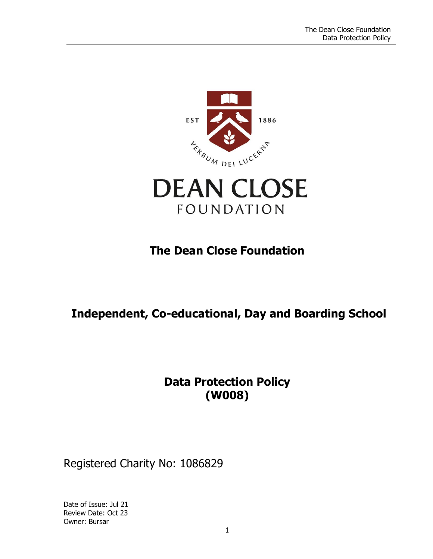

# **The Dean Close Foundation**

FOUNDATION

# **Independent, Co-educational, Day and Boarding School**

# **Data Protection Policy (W008)**

# Registered Charity No: 1086829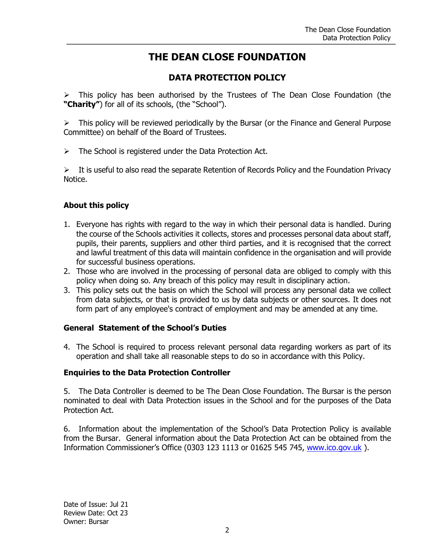# **THE DEAN CLOSE FOUNDATION**

# **DATA PROTECTION POLICY**

➢ This policy has been authorised by the Trustees of The Dean Close Foundation (the **"Charity"**) for all of its schools, (the "School").

 $\triangleright$  This policy will be reviewed periodically by the Bursar (or the Finance and General Purpose Committee) on behalf of the Board of Trustees.

➢ The School is registered under the Data Protection Act.

 $\triangleright$  It is useful to also read the separate Retention of Records Policy and the Foundation Privacy Notice.

## **About this policy**

- 1. Everyone has rights with regard to the way in which their personal data is handled. During the course of the Schools activities it collects, stores and processes personal data about staff, pupils, their parents, suppliers and other third parties, and it is recognised that the correct and lawful treatment of this data will maintain confidence in the organisation and will provide for successful business operations.
- 2. Those who are involved in the processing of personal data are obliged to comply with this policy when doing so. Any breach of this policy may result in disciplinary action.
- 3. This policy sets out the basis on which the School will process any personal data we collect from data subjects, or that is provided to us by data subjects or other sources. It does not form part of any employee's contract of employment and may be amended at any time.

#### **General Statement of the School's Duties**

4. The School is required to process relevant personal data regarding workers as part of its operation and shall take all reasonable steps to do so in accordance with this Policy.

#### **Enquiries to the Data Protection Controller**

5. The Data Controller is deemed to be The Dean Close Foundation. The Bursar is the person nominated to deal with Data Protection issues in the School and for the purposes of the Data Protection Act.

6. Information about the implementation of the School's Data Protection Policy is available from the Bursar. General information about the Data Protection Act can be obtained from the Information Commissioner's Office (0303 123 1113 or 01625 545 745, [www.ico.gov.uk](http://www.ico.gov.uk/) ).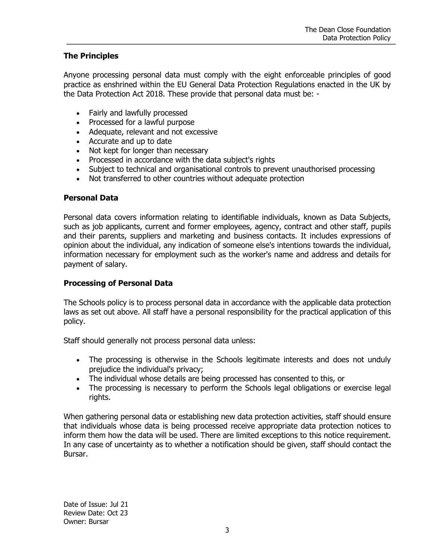#### **The Principles**

Anyone processing personal data must comply with the eight enforceable principles of good practice as enshrined within the EU General Data Protection Regulations enacted in the UK by the Data Protection Act 2018. These provide that personal data must be: -

- Fairly and lawfully processed
- Processed for a lawful purpose
- Adequate, relevant and not excessive
- Accurate and up to date
- Not kept for longer than necessary
- Processed in accordance with the data subject's rights
- Subject to technical and organisational controls to prevent unauthorised processing
- Not transferred to other countries without adequate protection

## **Personal Data**

Personal data covers information relating to identifiable individuals, known as Data Subjects, such as job applicants, current and former employees, agency, contract and other staff, pupils and their parents, suppliers and marketing and business contacts. It includes expressions of opinion about the individual, any indication of someone else's intentions towards the individual, information necessary for employment such as the worker's name and address and details for payment of salary.

## **Processing of Personal Data**

The Schools policy is to process personal data in accordance with the applicable data protection laws as set out above. All staff have a personal responsibility for the practical application of this policy.

Staff should generally not process personal data unless:

- The processing is otherwise in the Schools legitimate interests and does not unduly prejudice the individual's privacy;
- The individual whose details are being processed has consented to this, or
- The processing is necessary to perform the Schools legal obligations or exercise legal rights.

When gathering personal data or establishing new data protection activities, staff should ensure that individuals whose data is being processed receive appropriate data protection notices to inform them how the data will be used. There are limited exceptions to this notice requirement. In any case of uncertainty as to whether a notification should be given, staff should contact the Bursar.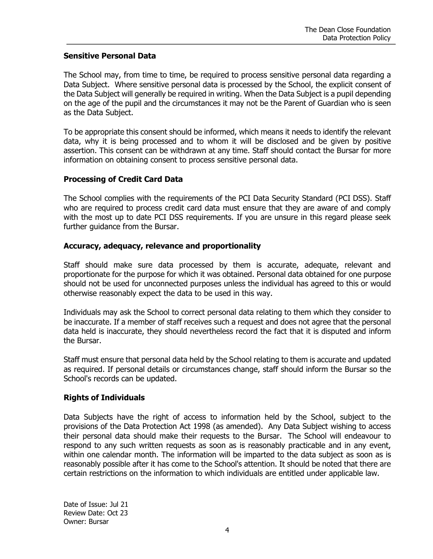#### **Sensitive Personal Data**

The School may, from time to time, be required to process sensitive personal data regarding a Data Subject. Where sensitive personal data is processed by the School, the explicit consent of the Data Subject will generally be required in writing. When the Data Subject is a pupil depending on the age of the pupil and the circumstances it may not be the Parent of Guardian who is seen as the Data Subject.

To be appropriate this consent should be informed, which means it needs to identify the relevant data, why it is being processed and to whom it will be disclosed and be given by positive assertion. This consent can be withdrawn at any time. Staff should contact the Bursar for more information on obtaining consent to process sensitive personal data.

#### **Processing of Credit Card Data**

The School complies with the requirements of the PCI Data Security Standard (PCI DSS). Staff who are required to process credit card data must ensure that they are aware of and comply with the most up to date PCI DSS requirements. If you are unsure in this regard please seek further guidance from the Bursar.

#### **Accuracy, adequacy, relevance and proportionality**

Staff should make sure data processed by them is accurate, adequate, relevant and proportionate for the purpose for which it was obtained. Personal data obtained for one purpose should not be used for unconnected purposes unless the individual has agreed to this or would otherwise reasonably expect the data to be used in this way.

Individuals may ask the School to correct personal data relating to them which they consider to be inaccurate. If a member of staff receives such a request and does not agree that the personal data held is inaccurate, they should nevertheless record the fact that it is disputed and inform the Bursar.

Staff must ensure that personal data held by the School relating to them is accurate and updated as required. If personal details or circumstances change, staff should inform the Bursar so the School's records can be updated.

#### **Rights of Individuals**

Data Subjects have the right of access to information held by the School, subject to the provisions of the Data Protection Act 1998 (as amended). Any Data Subject wishing to access their personal data should make their requests to the Bursar. The School will endeavour to respond to any such written requests as soon as is reasonably practicable and in any event, within one calendar month. The information will be imparted to the data subject as soon as is reasonably possible after it has come to the School's attention. It should be noted that there are certain restrictions on the information to which individuals are entitled under applicable law.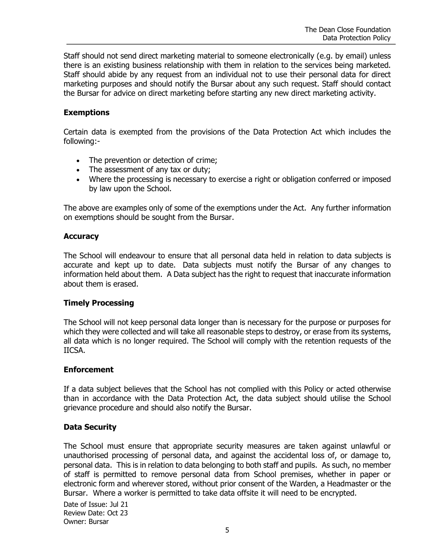Staff should not send direct marketing material to someone electronically (e.g. by email) unless there is an existing business relationship with them in relation to the services being marketed. Staff should abide by any request from an individual not to use their personal data for direct marketing purposes and should notify the Bursar about any such request. Staff should contact the Bursar for advice on direct marketing before starting any new direct marketing activity.

#### **Exemptions**

Certain data is exempted from the provisions of the Data Protection Act which includes the following:-

- The prevention or detection of crime;
- The assessment of any tax or duty;
- Where the processing is necessary to exercise a right or obligation conferred or imposed by law upon the School.

The above are examples only of some of the exemptions under the Act. Any further information on exemptions should be sought from the Bursar.

#### **Accuracy**

The School will endeavour to ensure that all personal data held in relation to data subjects is accurate and kept up to date. Data subjects must notify the Bursar of any changes to information held about them. A Data subject has the right to request that inaccurate information about them is erased.

#### **Timely Processing**

The School will not keep personal data longer than is necessary for the purpose or purposes for which they were collected and will take all reasonable steps to destroy, or erase from its systems, all data which is no longer required. The School will comply with the retention requests of the IICSA.

#### **Enforcement**

If a data subject believes that the School has not complied with this Policy or acted otherwise than in accordance with the Data Protection Act, the data subject should utilise the School grievance procedure and should also notify the Bursar.

#### **Data Security**

The School must ensure that appropriate security measures are taken against unlawful or unauthorised processing of personal data, and against the accidental loss of, or damage to, personal data. This is in relation to data belonging to both staff and pupils. As such, no member of staff is permitted to remove personal data from School premises, whether in paper or electronic form and wherever stored, without prior consent of the Warden, a Headmaster or the Bursar. Where a worker is permitted to take data offsite it will need to be encrypted.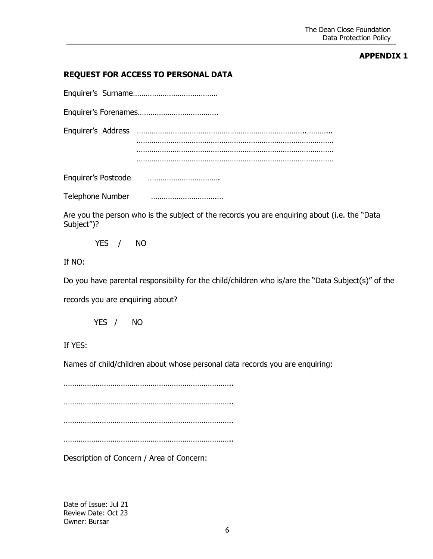#### **APPENDIX 1**

#### **REQUEST FOR ACCESS TO PERSONAL DATA**

|  | Enquirer's Postcode <b>contained</b> and <b>Enquirer's</b> Postcode |
|--|---------------------------------------------------------------------|
|  |                                                                     |

Telephone Number ………………………….…

Are you the person who is the subject of the records you are enquiring about (i.e. the "Data Subject")?

YES / NO

If NO:

Do you have parental responsibility for the child/children who is/are the "Data Subject(s)" of the records you are enquiring about?

YES / NO

If YES:

Names of child/children about whose personal data records you are enquiring:

…………………………………………………………………….. ……………………………………………………………………..

……………………………………………………………………..

……………………………………………………………………..

Description of Concern / Area of Concern: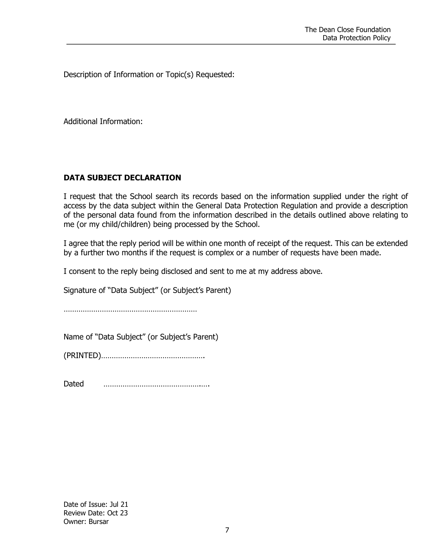Description of Information or Topic(s) Requested:

Additional Information:

## **DATA SUBJECT DECLARATION**

I request that the School search its records based on the information supplied under the right of access by the data subject within the General Data Protection Regulation and provide a description of the personal data found from the information described in the details outlined above relating to me (or my child/children) being processed by the School.

I agree that the reply period will be within one month of receipt of the request. This can be extended by a further two months if the request is complex or a number of requests have been made.

I consent to the reply being disclosed and sent to me at my address above.

Signature of "Data Subject" (or Subject's Parent)

………………………………………………………

Name of "Data Subject" (or Subject's Parent)

(PRINTED)………………………………………….

Dated ……………………………………….….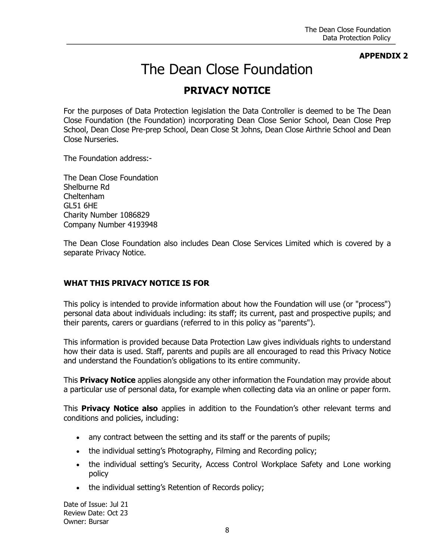#### **APPENDIX 2**

# The Dean Close Foundation

# **PRIVACY NOTICE**

For the purposes of Data Protection legislation the Data Controller is deemed to be The Dean Close Foundation (the Foundation) incorporating Dean Close Senior School, Dean Close Prep School, Dean Close Pre-prep School, Dean Close St Johns, Dean Close Airthrie School and Dean Close Nurseries.

The Foundation address:-

The Dean Close Foundation Shelburne Rd Cheltenham GL51 6HE Charity Number 1086829 Company Number 4193948

The Dean Close Foundation also includes Dean Close Services Limited which is covered by a separate Privacy Notice.

#### **WHAT THIS PRIVACY NOTICE IS FOR**

This policy is intended to provide information about how the Foundation will use (or "process") personal data about individuals including: its staff; its current, past and prospective pupils; and their parents, carers or guardians (referred to in this policy as "parents").

This information is provided because Data Protection Law gives individuals rights to understand how their data is used. Staff, parents and pupils are all encouraged to read this Privacy Notice and understand the Foundation's obligations to its entire community.

This **Privacy Notice** applies alongside any other information the Foundation may provide about a particular use of personal data, for example when collecting data via an online or paper form.

This **Privacy Notice also** applies in addition to the Foundation's other relevant terms and conditions and policies, including:

- any contract between the setting and its staff or the parents of pupils;
- the individual setting's Photography, Filming and Recording policy;
- the individual setting's Security, Access Control Workplace Safety and Lone working policy
- the individual setting's Retention of Records policy;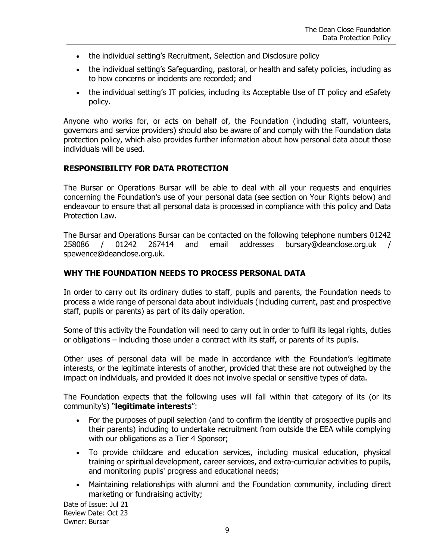- the individual setting's Recruitment, Selection and Disclosure policy
- the individual setting's Safeguarding, pastoral, or health and safety policies, including as to how concerns or incidents are recorded; and
- the individual setting's IT policies, including its Acceptable Use of IT policy and eSafety policy.

Anyone who works for, or acts on behalf of, the Foundation (including staff, volunteers, governors and service providers) should also be aware of and comply with the Foundation data protection policy, which also provides further information about how personal data about those individuals will be used.

#### **RESPONSIBILITY FOR DATA PROTECTION**

The Bursar or Operations Bursar will be able to deal with all your requests and enquiries concerning the Foundation's use of your personal data (see section on Your Rights below) and endeavour to ensure that all personal data is processed in compliance with this policy and Data Protection Law.

The Bursar and Operations Bursar can be contacted on the following telephone numbers 01242 258086 / 01242 267414 and email addresses [bursary@deanclose.org.uk](mailto:bursary@deanclose.org.uk) / spewence@deanclose.org.uk.

#### **WHY THE FOUNDATION NEEDS TO PROCESS PERSONAL DATA**

In order to carry out its ordinary duties to staff, pupils and parents, the Foundation needs to process a wide range of personal data about individuals (including current, past and prospective staff, pupils or parents) as part of its daily operation.

Some of this activity the Foundation will need to carry out in order to fulfil its legal rights, duties or obligations – including those under a contract with its staff, or parents of its pupils.

Other uses of personal data will be made in accordance with the Foundation's legitimate interests, or the legitimate interests of another, provided that these are not outweighed by the impact on individuals, and provided it does not involve special or sensitive types of data.

The Foundation expects that the following uses will fall within that category of its (or its community's) "**legitimate interests**":

- For the purposes of pupil selection (and to confirm the identity of prospective pupils and their parents) including to undertake recruitment from outside the EEA while complying with our obligations as a Tier 4 Sponsor;
- To provide childcare and education services, including musical education, physical training or spiritual development, career services, and extra-curricular activities to pupils, and monitoring pupils' progress and educational needs;
- Maintaining relationships with alumni and the Foundation community, including direct marketing or fundraising activity;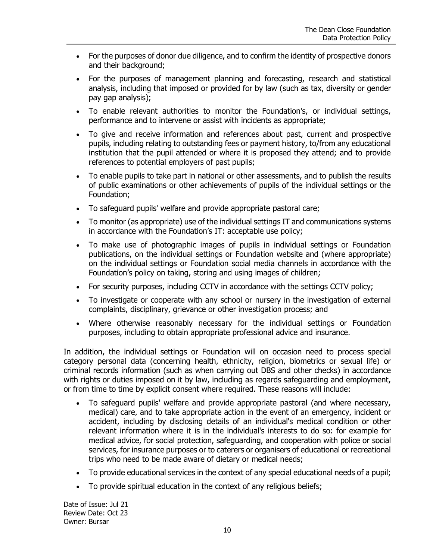- For the purposes of donor due diligence, and to confirm the identity of prospective donors and their background;
- For the purposes of management planning and forecasting, research and statistical analysis, including that imposed or provided for by law (such as tax, diversity or gender pay gap analysis);
- To enable relevant authorities to monitor the Foundation's, or individual settings, performance and to intervene or assist with incidents as appropriate;
- To give and receive information and references about past, current and prospective pupils, including relating to outstanding fees or payment history, to/from any educational institution that the pupil attended or where it is proposed they attend; and to provide references to potential employers of past pupils;
- To enable pupils to take part in national or other assessments, and to publish the results of public examinations or other achievements of pupils of the individual settings or the Foundation;
- To safeguard pupils' welfare and provide appropriate pastoral care;
- To monitor (as appropriate) use of the individual settings IT and communications systems in accordance with the Foundation's IT: acceptable use policy;
- To make use of photographic images of pupils in individual settings or Foundation publications, on the individual settings or Foundation website and (where appropriate) on the individual settings or Foundation social media channels in accordance with the Foundation's policy on taking, storing and using images of children;
- For security purposes, including CCTV in accordance with the settings CCTV policy;
- To investigate or cooperate with any school or nursery in the investigation of external complaints, disciplinary, grievance or other investigation process; and
- Where otherwise reasonably necessary for the individual settings or Foundation purposes, including to obtain appropriate professional advice and insurance.

In addition, the individual settings or Foundation will on occasion need to process special category personal data (concerning health, ethnicity, religion, biometrics or sexual life) or criminal records information (such as when carrying out DBS and other checks) in accordance with rights or duties imposed on it by law, including as regards safeguarding and employment, or from time to time by explicit consent where required. These reasons will include:

- To safeguard pupils' welfare and provide appropriate pastoral (and where necessary, medical) care, and to take appropriate action in the event of an emergency, incident or accident, including by disclosing details of an individual's medical condition or other relevant information where it is in the individual's interests to do so: for example for medical advice, for social protection, safeguarding, and cooperation with police or social services, for insurance purposes or to caterers or organisers of educational or recreational trips who need to be made aware of dietary or medical needs;
- To provide educational services in the context of any special educational needs of a pupil;
- To provide spiritual education in the context of any religious beliefs;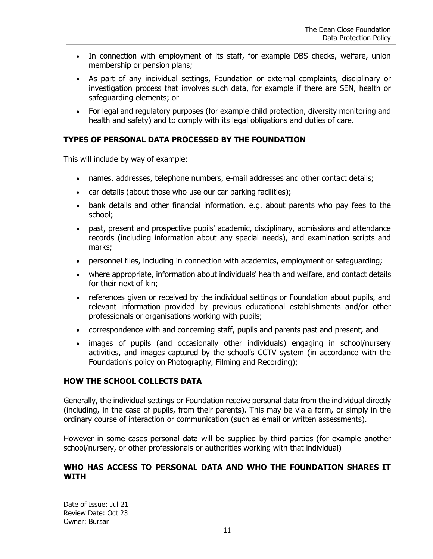- In connection with employment of its staff, for example DBS checks, welfare, union membership or pension plans;
- As part of any individual settings, Foundation or external complaints, disciplinary or investigation process that involves such data, for example if there are SEN, health or safeguarding elements; or
- For legal and regulatory purposes (for example child protection, diversity monitoring and health and safety) and to comply with its legal obligations and duties of care.

#### **TYPES OF PERSONAL DATA PROCESSED BY THE FOUNDATION**

This will include by way of example:

- names, addresses, telephone numbers, e-mail addresses and other contact details;
- car details (about those who use our car parking facilities);
- bank details and other financial information, e.g. about parents who pay fees to the school;
- past, present and prospective pupils' academic, disciplinary, admissions and attendance records (including information about any special needs), and examination scripts and marks;
- personnel files, including in connection with academics, employment or safeguarding;
- where appropriate, information about individuals' health and welfare, and contact details for their next of kin;
- references given or received by the individual settings or Foundation about pupils, and relevant information provided by previous educational establishments and/or other professionals or organisations working with pupils;
- correspondence with and concerning staff, pupils and parents past and present; and
- images of pupils (and occasionally other individuals) engaging in school/nursery activities, and images captured by the school's CCTV system (in accordance with the Foundation's policy on Photography, Filming and Recording);

#### **HOW THE SCHOOL COLLECTS DATA**

Generally, the individual settings or Foundation receive personal data from the individual directly (including, in the case of pupils, from their parents). This may be via a form, or simply in the ordinary course of interaction or communication (such as email or written assessments).

However in some cases personal data will be supplied by third parties (for example another school/nursery, or other professionals or authorities working with that individual)

#### **WHO HAS ACCESS TO PERSONAL DATA AND WHO THE FOUNDATION SHARES IT WITH**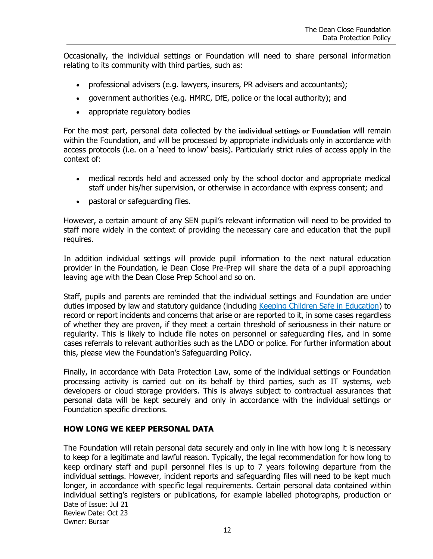Occasionally, the individual settings or Foundation will need to share personal information relating to its community with third parties, such as:

- professional advisers (e.g. lawyers, insurers, PR advisers and accountants);
- government authorities (e.g. HMRC, DfE, police or the local authority); and
- appropriate regulatory bodies

For the most part, personal data collected by the **individual settings or Foundation** will remain within the Foundation, and will be processed by appropriate individuals only in accordance with access protocols (i.e. on a 'need to know' basis). Particularly strict rules of access apply in the context of:

- medical records held and accessed only by the school doctor and appropriate medical staff under his/her supervision, or otherwise in accordance with express consent; and
- pastoral or safeguarding files.

However, a certain amount of any SEN pupil's relevant information will need to be provided to staff more widely in the context of providing the necessary care and education that the pupil requires.

In addition individual settings will provide pupil information to the next natural education provider in the Foundation, ie Dean Close Pre-Prep will share the data of a pupil approaching leaving age with the Dean Close Prep School and so on.

Staff, pupils and parents are reminded that the individual settings and Foundation are under duties imposed by law and statutory guidance (including Keeping Children Safe in Education) to record or report incidents and concerns that arise or are reported to it, in some cases regardless of whether they are proven, if they meet a certain threshold of seriousness in their nature or regularity. This is likely to include file notes on personnel or safeguarding files, and in some cases referrals to relevant authorities such as the LADO or police. For further information about this, please view the Foundation's Safeguarding Policy.

Finally, in accordance with Data Protection Law, some of the individual settings or Foundation processing activity is carried out on its behalf by third parties, such as IT systems, web developers or cloud storage providers. This is always subject to contractual assurances that personal data will be kept securely and only in accordance with the individual settings or Foundation specific directions.

#### **HOW LONG WE KEEP PERSONAL DATA**

Date of Issue: Jul 21 Review Date: Oct 23 Owner: Bursar The Foundation will retain personal data securely and only in line with how long it is necessary to keep for a legitimate and lawful reason. Typically, the legal recommendation for how long to keep ordinary staff and pupil personnel files is up to 7 years following departure from the individual **settings**. However, incident reports and safeguarding files will need to be kept much longer, in accordance with specific legal requirements. Certain personal data contained within individual setting's registers or publications, for example labelled photographs, production or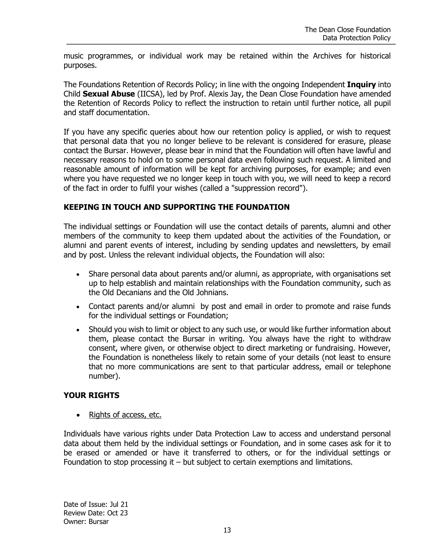music programmes, or individual work may be retained within the Archives for historical purposes.

The Foundations Retention of Records Policy; in line with the ongoing Independent **Inquiry** into Child **Sexual Abuse** (IICSA), led by Prof. Alexis Jay, the Dean Close Foundation have amended the Retention of Records Policy to reflect the instruction to retain until further notice, all pupil and staff documentation.

If you have any specific queries about how our retention policy is applied, or wish to request that personal data that you no longer believe to be relevant is considered for erasure, please contact the Bursar. However, please bear in mind that the Foundation will often have lawful and necessary reasons to hold on to some personal data even following such request. A limited and reasonable amount of information will be kept for archiving purposes, for example; and even where you have requested we no longer keep in touch with you, we will need to keep a record of the fact in order to fulfil your wishes (called a "suppression record").

## **KEEPING IN TOUCH AND SUPPORTING THE FOUNDATION**

The individual settings or Foundation will use the contact details of parents, alumni and other members of the community to keep them updated about the activities of the Foundation, or alumni and parent events of interest, including by sending updates and newsletters, by email and by post. Unless the relevant individual objects, the Foundation will also:

- Share personal data about parents and/or alumni, as appropriate, with organisations set up to help establish and maintain relationships with the Foundation community, such as the Old Decanians and the Old Johnians.
- Contact parents and/or alumni by post and email in order to promote and raise funds for the individual settings or Foundation;
- Should you wish to limit or object to any such use, or would like further information about them, please contact the Bursar in writing. You always have the right to withdraw consent, where given, or otherwise object to direct marketing or fundraising. However, the Foundation is nonetheless likely to retain some of your details (not least to ensure that no more communications are sent to that particular address, email or telephone number).

#### **YOUR RIGHTS**

• Rights of access, etc.

Individuals have various rights under Data Protection Law to access and understand personal data about them held by the individual settings or Foundation, and in some cases ask for it to be erased or amended or have it transferred to others, or for the individual settings or Foundation to stop processing it – but subject to certain exemptions and limitations.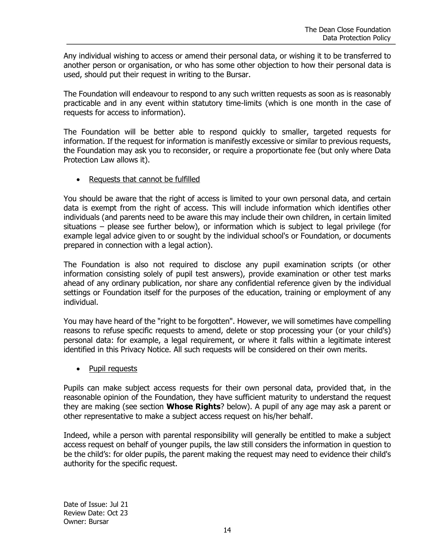Any individual wishing to access or amend their personal data, or wishing it to be transferred to another person or organisation, or who has some other objection to how their personal data is used, should put their request in writing to the Bursar.

The Foundation will endeavour to respond to any such written requests as soon as is reasonably practicable and in any event within statutory time-limits (which is one month in the case of requests for access to information).

The Foundation will be better able to respond quickly to smaller, targeted requests for information. If the request for information is manifestly excessive or similar to previous requests, the Foundation may ask you to reconsider, or require a proportionate fee (but only where Data Protection Law allows it).

• Requests that cannot be fulfilled

You should be aware that the right of access is limited to your own personal data, and certain data is exempt from the right of access. This will include information which identifies other individuals (and parents need to be aware this may include their own children, in certain limited situations – please see further below), or information which is subject to legal privilege (for example legal advice given to or sought by the individual school's or Foundation, or documents prepared in connection with a legal action).

The Foundation is also not required to disclose any pupil examination scripts (or other information consisting solely of pupil test answers), provide examination or other test marks ahead of any ordinary publication, nor share any confidential reference given by the individual settings or Foundation itself for the purposes of the education, training or employment of any individual.

You may have heard of the "right to be forgotten". However, we will sometimes have compelling reasons to refuse specific requests to amend, delete or stop processing your (or your child's) personal data: for example, a legal requirement, or where it falls within a legitimate interest identified in this Privacy Notice. All such requests will be considered on their own merits.

• Pupil requests

Pupils can make subject access requests for their own personal data, provided that, in the reasonable opinion of the Foundation, they have sufficient maturity to understand the request they are making (see section **Whose Rights**? below). A pupil of any age may ask a parent or other representative to make a subject access request on his/her behalf.

Indeed, while a person with parental responsibility will generally be entitled to make a subject access request on behalf of younger pupils, the law still considers the information in question to be the child's: for older pupils, the parent making the request may need to evidence their child's authority for the specific request.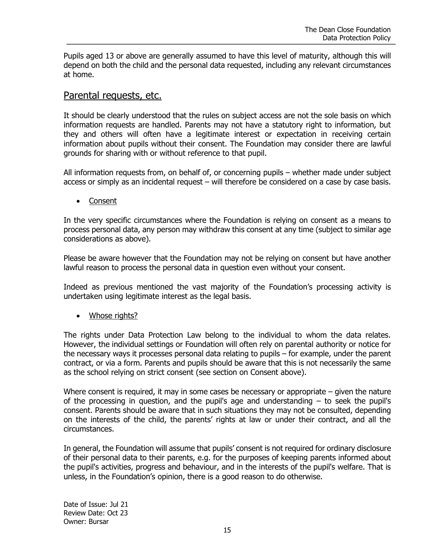Pupils aged 13 or above are generally assumed to have this level of maturity, although this will depend on both the child and the personal data requested, including any relevant circumstances at home.

## Parental requests, etc.

It should be clearly understood that the rules on subject access are not the sole basis on which information requests are handled. Parents may not have a statutory right to information, but they and others will often have a legitimate interest or expectation in receiving certain information about pupils without their consent. The Foundation may consider there are lawful grounds for sharing with or without reference to that pupil.

All information requests from, on behalf of, or concerning pupils – whether made under subject access or simply as an incidental request – will therefore be considered on a case by case basis.

• Consent

In the very specific circumstances where the Foundation is relying on consent as a means to process personal data, any person may withdraw this consent at any time (subject to similar age considerations as above).

Please be aware however that the Foundation may not be relying on consent but have another lawful reason to process the personal data in question even without your consent.

Indeed as previous mentioned the vast majority of the Foundation's processing activity is undertaken using legitimate interest as the legal basis.

Whose rights?

The rights under Data Protection Law belong to the individual to whom the data relates. However, the individual settings or Foundation will often rely on parental authority or notice for the necessary ways it processes personal data relating to pupils – for example, under the parent contract, or via a form. Parents and pupils should be aware that this is not necessarily the same as the school relying on strict consent (see section on Consent above).

Where consent is required, it may in some cases be necessary or appropriate – given the nature of the processing in question, and the pupil's age and understanding – to seek the pupil's consent. Parents should be aware that in such situations they may not be consulted, depending on the interests of the child, the parents' rights at law or under their contract, and all the circumstances.

In general, the Foundation will assume that pupils' consent is not required for ordinary disclosure of their personal data to their parents, e.g. for the purposes of keeping parents informed about the pupil's activities, progress and behaviour, and in the interests of the pupil's welfare. That is unless, in the Foundation's opinion, there is a good reason to do otherwise.